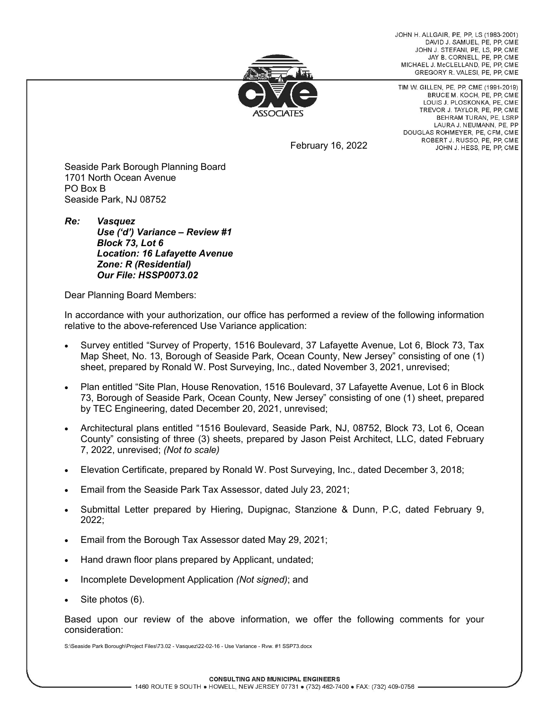JOHN H ALLGAIR PF PP LS (1983-2001) DAVID J. SAMUEL, PE, PP, CME JOHN J. STEFANI, PE, LS, PP, CME JAY B. CORNELL, PE. PP. CME MICHAEL J. McCLELLAND, PE, PP, CME GREGORY R. VALESI, PE, PP, CME



TIM W. GILLEN, PE, PP, CME (1991-2019) BRUCE M. KOCH, PE, PP, CME LOUIS J. PLOSKONKA, PE, CME TREVOR J. TAYLOR, PE, PP, CME BEHRAM TURAN, PE, LSRP LAURA J. NEUMANN, PE. PP DOUGLAS ROHMEYER, PE, CFM, CME ROBERT J. RUSSO, PE, PP, CME JOHN J. HESS, PE, PP, CME

February 16, 2022

Seaside Park Borough Planning Board 1701 North Ocean Avenue PO Box B Seaside Park, NJ 08752

*Re: Vasquez Use ('d') Variance – Review #1 Block 73, Lot 6 Location: 16 Lafayette Avenue Zone: R (Residential) Our File: HSSP0073.02*

Dear Planning Board Members:

In accordance with your authorization, our office has performed a review of the following information relative to the above-referenced Use Variance application:

- Survey entitled "Survey of Property, 1516 Boulevard, 37 Lafayette Avenue, Lot 6, Block 73, Tax Map Sheet, No. 13, Borough of Seaside Park, Ocean County, New Jersey" consisting of one (1) sheet, prepared by Ronald W. Post Surveying, Inc., dated November 3, 2021, unrevised;
- Plan entitled "Site Plan, House Renovation, 1516 Boulevard, 37 Lafayette Avenue, Lot 6 in Block 73, Borough of Seaside Park, Ocean County, New Jersey" consisting of one (1) sheet, prepared by TEC Engineering, dated December 20, 2021, unrevised;
- Architectural plans entitled "1516 Boulevard, Seaside Park, NJ, 08752, Block 73, Lot 6, Ocean County" consisting of three (3) sheets, prepared by Jason Peist Architect, LLC, dated February 7, 2022, unrevised; *(Not to scale)*
- Elevation Certificate, prepared by Ronald W. Post Surveying, Inc., dated December 3, 2018;
- Email from the Seaside Park Tax Assessor, dated July 23, 2021;
- Submittal Letter prepared by Hiering, Dupignac, Stanzione & Dunn, P.C, dated February 9, 2022;
- Email from the Borough Tax Assessor dated May 29, 2021;
- Hand drawn floor plans prepared by Applicant, undated;
- Incomplete Development Application *(Not signed)*; and
- Site photos (6).

Based upon our review of the above information, we offer the following comments for your consideration: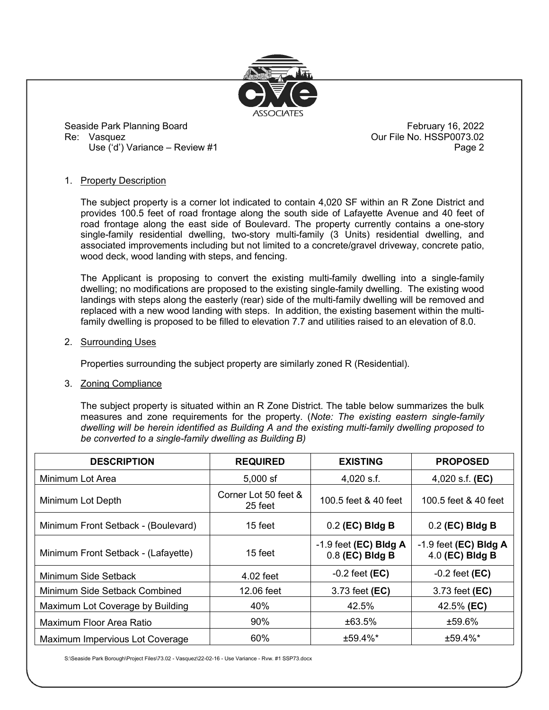

Seaside Park Planning Board February 16, 2022 Re: Vasquez **During the Second Control Control** Court File No. HSSP0073.02 Use ('d') Variance – Review #1 Page 2

## 1. Property Description

The subject property is a corner lot indicated to contain 4,020 SF within an R Zone District and provides 100.5 feet of road frontage along the south side of Lafayette Avenue and 40 feet of road frontage along the east side of Boulevard. The property currently contains a one-story single-family residential dwelling, two-story multi-family (3 Units) residential dwelling, and associated improvements including but not limited to a concrete/gravel driveway, concrete patio, wood deck, wood landing with steps, and fencing.

The Applicant is proposing to convert the existing multi-family dwelling into a single-family dwelling; no modifications are proposed to the existing single-family dwelling. The existing wood landings with steps along the easterly (rear) side of the multi-family dwelling will be removed and replaced with a new wood landing with steps. In addition, the existing basement within the multifamily dwelling is proposed to be filled to elevation 7.7 and utilities raised to an elevation of 8.0.

## 2. Surrounding Uses

Properties surrounding the subject property are similarly zoned R (Residential).

3. Zoning Compliance

The subject property is situated within an R Zone District. The table below summarizes the bulk measures and zone requirements for the property. (*Note: The existing eastern single-family dwelling will be herein identified as Building A and the existing multi-family dwelling proposed to be converted to a single-family dwelling as Building B)*

| <b>DESCRIPTION</b>                  | <b>REQUIRED</b>                 | <b>EXISTING</b>                              | <b>PROPOSED</b>                            |
|-------------------------------------|---------------------------------|----------------------------------------------|--------------------------------------------|
| Minimum Lot Area                    | $5,000$ sf                      | $4,020$ s.f.                                 | 4,020 s.f. $(EC)$                          |
| Minimum Lot Depth                   | Corner Lot 50 feet &<br>25 feet | 100.5 feet & 40 feet                         | 100.5 feet & 40 feet                       |
| Minimum Front Setback - (Boulevard) | 15 feet                         | $0.2$ (EC) Bldg B                            | $0.2$ (EC) Bldg B                          |
| Minimum Front Setback - (Lafayette) | 15 feet                         | $-1.9$ feet (EC) Bldg A<br>$0.8$ (EC) Bldg B | $-1.9$ feet (EC) Bldg A<br>4.0 (EC) Bldg B |
| Minimum Side Setback                | 4.02 feet                       | $-0.2$ feet (EC)                             | $-0.2$ feet (EC)                           |
| Minimum Side Setback Combined       | 12.06 feet                      | 3.73 feet (EC)                               | 3.73 feet (EC)                             |
| Maximum Lot Coverage by Building    | 40%                             | 42.5%                                        | 42.5% (EC)                                 |
| Maximum Floor Area Ratio            | $90\%$                          | ±63.5%                                       | ±59.6%                                     |
| Maximum Impervious Lot Coverage     | 60%                             | $±59.4\%*$                                   | $±59.4\%*$                                 |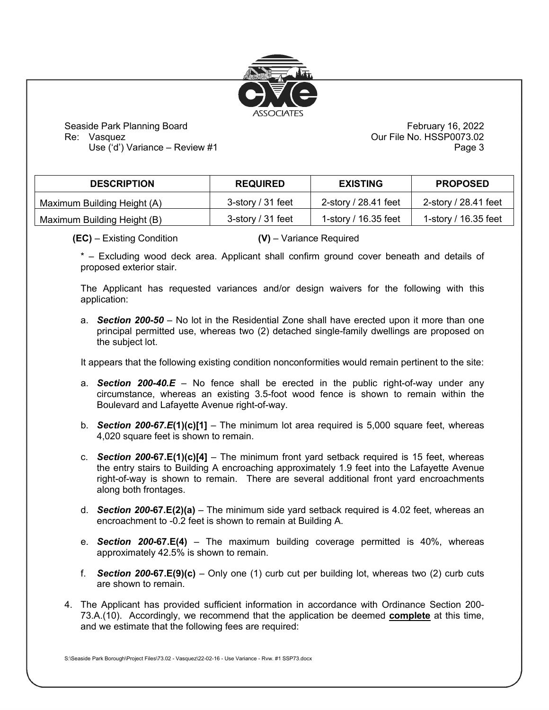

Seaside Park Planning Board February 16, 2022 Re: Vasquez **Calculation Contract Contract Contract Contract Contract Contract Contract Contract Contract Contract Contract Contract Contract Contract Contract Contract Contract Contract Contract Contract Contract Contract** 

Use ('d') Variance – Review #1 Page 3

| <b>DESCRIPTION</b>          | <b>REQUIRED</b>   | <b>EXISTING</b>      | <b>PROPOSED</b>      |
|-----------------------------|-------------------|----------------------|----------------------|
| Maximum Building Height (A) | 3-story / 31 feet | 2-story / 28.41 feet | 2-story / 28.41 feet |
| Maximum Building Height (B) | 3-story / 31 feet | 1-story / 16.35 feet | 1-story / 16.35 feet |

**(EC)** – Existing Condition **(V)** – Variance Required

\* – Excluding wood deck area. Applicant shall confirm ground cover beneath and details of proposed exterior stair.

The Applicant has requested variances and/or design waivers for the following with this application:

a. *Section 200-50* – No lot in the Residential Zone shall have erected upon it more than one principal permitted use, whereas two (2) detached single-family dwellings are proposed on the subject lot.

It appears that the following existing condition nonconformities would remain pertinent to the site:

- a. *Section 200-40.E* No fence shall be erected in the public right-of-way under any circumstance, whereas an existing 3.5-foot wood fence is shown to remain within the Boulevard and Lafayette Avenue right-of-way.
- b. *Section 200-67.E***(1)(c)[1]** The minimum lot area required is 5,000 square feet, whereas 4,020 square feet is shown to remain.
- c. *Section 200***-67.E(1)(c)[4]** The minimum front yard setback required is 15 feet, whereas the entry stairs to Building A encroaching approximately 1.9 feet into the Lafayette Avenue right-of-way is shown to remain. There are several additional front yard encroachments along both frontages.
- d. *Section 200***-67.E(2)(a)** The minimum side yard setback required is 4.02 feet, whereas an encroachment to -0.2 feet is shown to remain at Building A.
- e. *Section 200***-67.E(4)** The maximum building coverage permitted is 40%, whereas approximately 42.5% is shown to remain.
- f. *Section 200***-67.E(9)(c)** Only one (1) curb cut per building lot, whereas two (2) curb cuts are shown to remain.
- 4. The Applicant has provided sufficient information in accordance with Ordinance Section 200- 73.A.(10). Accordingly, we recommend that the application be deemed **complete** at this time, and we estimate that the following fees are required: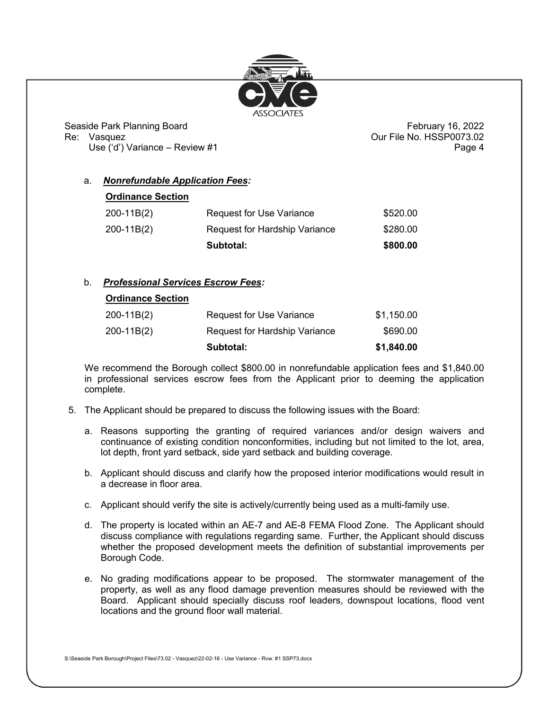

Seaside Park Planning Board February 16, 2022 Re: Vasquez **Calculation Course of the Calculation Course Course Course Our File No. HSSP0073.02** 

Use ('d') Variance – Review #1 Page 4

# a. *Nonrefundable Application Fees:*

| <b>Ordinance Section</b> |                                 |          |
|--------------------------|---------------------------------|----------|
| $200-11B(2)$             | <b>Request for Use Variance</b> | \$520.00 |
| $200-11B(2)$             | Request for Hardship Variance   | \$280.00 |
|                          | Subtotal:                       | \$800.00 |

# b. *Professional Services Escrow Fees:*

### **Ordinance Section**

|            | Subtotal:                       | \$1,840.00 |
|------------|---------------------------------|------------|
| 200-11B(2) | Request for Hardship Variance   | \$690.00   |
| 200-11B(2) | <b>Request for Use Variance</b> | \$1,150.00 |

We recommend the Borough collect \$800.00 in nonrefundable application fees and \$1,840.00 in professional services escrow fees from the Applicant prior to deeming the application complete.

- 5. The Applicant should be prepared to discuss the following issues with the Board:
	- a. Reasons supporting the granting of required variances and/or design waivers and continuance of existing condition nonconformities, including but not limited to the lot, area, lot depth, front yard setback, side yard setback and building coverage.
	- b. Applicant should discuss and clarify how the proposed interior modifications would result in a decrease in floor area.
	- c. Applicant should verify the site is actively/currently being used as a multi-family use.
	- d. The property is located within an AE-7 and AE-8 FEMA Flood Zone. The Applicant should discuss compliance with regulations regarding same. Further, the Applicant should discuss whether the proposed development meets the definition of substantial improvements per Borough Code.
	- e. No grading modifications appear to be proposed. The stormwater management of the property, as well as any flood damage prevention measures should be reviewed with the Board. Applicant should specially discuss roof leaders, downspout locations, flood vent locations and the ground floor wall material.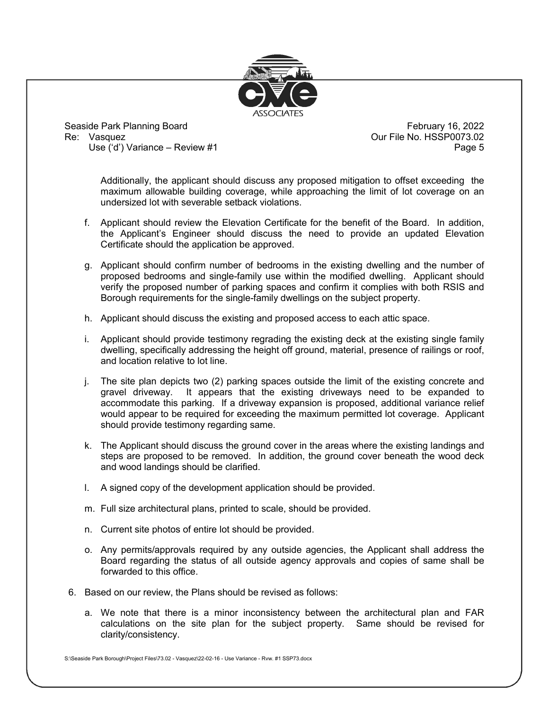

Seaside Park Planning Board February 16, 2022 Use  $(4)$  Variance – Review #1

Our File No. HSSP0073.02<br>Page 5

Additionally, the applicant should discuss any proposed mitigation to offset exceeding the maximum allowable building coverage, while approaching the limit of lot coverage on an undersized lot with severable setback violations.

- f. Applicant should review the Elevation Certificate for the benefit of the Board. In addition, the Applicant's Engineer should discuss the need to provide an updated Elevation Certificate should the application be approved.
- g. Applicant should confirm number of bedrooms in the existing dwelling and the number of proposed bedrooms and single-family use within the modified dwelling. Applicant should verify the proposed number of parking spaces and confirm it complies with both RSIS and Borough requirements for the single-family dwellings on the subject property.
- h. Applicant should discuss the existing and proposed access to each attic space.
- i. Applicant should provide testimony regrading the existing deck at the existing single family dwelling, specifically addressing the height off ground, material, presence of railings or roof, and location relative to lot line.
- j. The site plan depicts two (2) parking spaces outside the limit of the existing concrete and gravel driveway. It appears that the existing driveways need to be expanded to accommodate this parking. If a driveway expansion is proposed, additional variance relief would appear to be required for exceeding the maximum permitted lot coverage. Applicant should provide testimony regarding same.
- k. The Applicant should discuss the ground cover in the areas where the existing landings and steps are proposed to be removed. In addition, the ground cover beneath the wood deck and wood landings should be clarified.
- l. A signed copy of the development application should be provided.
- m. Full size architectural plans, printed to scale, should be provided.
- n. Current site photos of entire lot should be provided.
- o. Any permits/approvals required by any outside agencies, the Applicant shall address the Board regarding the status of all outside agency approvals and copies of same shall be forwarded to this office.
- 6. Based on our review, the Plans should be revised as follows:
	- a. We note that there is a minor inconsistency between the architectural plan and FAR calculations on the site plan for the subject property. Same should be revised for clarity/consistency.